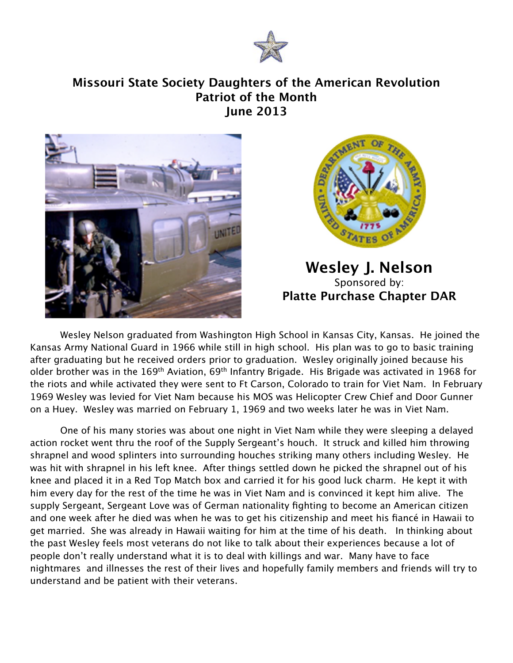

## **Missouri State Society Daughters of the American Revolution Patriot of the Month June 2013**





**Wesley J. Nelson** Sponsored by: **Platte Purchase Chapter DAR**

 Wesley Nelson graduated from Washington High School in Kansas City, Kansas. He joined the Kansas Army National Guard in 1966 while still in high school. His plan was to go to basic training after graduating but he received orders prior to graduation. Wesley originally joined because his older brother was in the 169<sup>th</sup> Aviation, 69<sup>th</sup> Infantry Brigade. His Brigade was activated in 1968 for the riots and while activated they were sent to Ft Carson, Colorado to train for Viet Nam. In February 1969 Wesley was levied for Viet Nam because his MOS was Helicopter Crew Chief and Door Gunner on a Huey. Wesley was married on February 1, 1969 and two weeks later he was in Viet Nam.

One of his many stories was about one night in Viet Nam while they were sleeping a delayed action rocket went thru the roof of the Supply Sergeant's houch. It struck and killed him throwing shrapnel and wood splinters into surrounding houches striking many others including Wesley. He was hit with shrapnel in his left knee. After things settled down he picked the shrapnel out of his knee and placed it in a Red Top Match box and carried it for his good luck charm. He kept it with him every day for the rest of the time he was in Viet Nam and is convinced it kept him alive. The supply Sergeant, Sergeant Love was of German nationality fighting to become an American citizen and one week after he died was when he was to get his citizenship and meet his fiancé in Hawaii to get married. She was already in Hawaii waiting for him at the time of his death. In thinking about the past Wesley feels most veterans do not like to talk about their experiences because a lot of people don't really understand what it is to deal with killings and war. Many have to face nightmares and illnesses the rest of their lives and hopefully family members and friends will try to understand and be patient with their veterans.